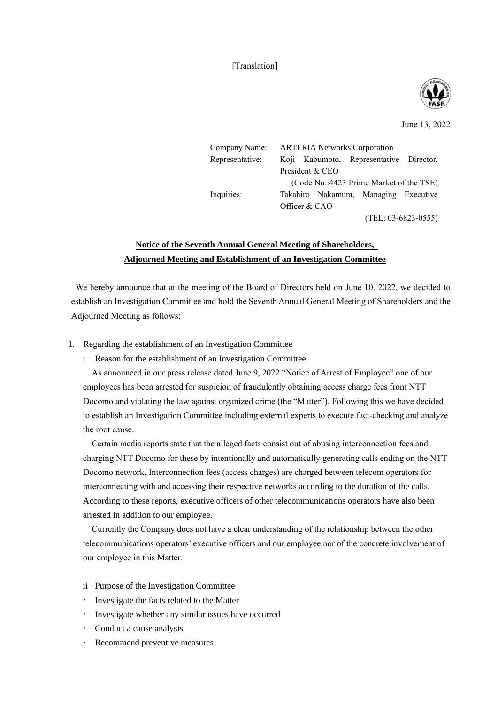[Translation]



June 13, 2022

| Company Name:   | <b>ARTERIA Networks Corporation</b>     |  |  |                                         |  |  |
|-----------------|-----------------------------------------|--|--|-----------------------------------------|--|--|
| Representative: |                                         |  |  | Koji Kabumoto, Representative Director, |  |  |
|                 | President & CEO                         |  |  |                                         |  |  |
|                 | (Code No.:4423 Prime Market of the TSE) |  |  |                                         |  |  |
| Inquiries:      |                                         |  |  | Takahiro Nakamura, Managing Executive   |  |  |
| Officer & CAO   |                                         |  |  |                                         |  |  |
|                 | $(TEL: 03-6823-0555)$                   |  |  |                                         |  |  |

# **Notice of the Seventh Annual General Meeting of Shareholders, Adjourned Meeting and Establishment of an Investigation Committee**

We hereby announce that at the meeting of the Board of Directors held on June 10, 2022, we decided to establish an Investigation Committee and hold the Seventh Annual General Meeting of Shareholders and the Adjourned Meeting as follows:

- 1. Regarding the establishment of an Investigation Committee
	- i Reason for the establishment of an Investigation Committee

As announced in our press release dated June 9, 2022 "Notice of Arrest of Employee" one of our employees has been arrested for suspicion of fraudulently obtaining access charge fees from NTT Docomo and violating the law against organized crime (the "Matter"). Following this we have decided to establish an Investigation Committee including external experts to execute fact-checking and analyze the root cause.

Certain media reports state that the alleged facts consist out of abusing interconnection fees and charging NTT Docomo for these by intentionally and automatically generating calls ending on the NTT Docomo network. Interconnection fees (access charges) are charged between telecom operators for interconnecting with and accessing their respective networks according to the duration of the calls. According to these reports, executive officers of other telecommunications operators have also been arrested in addition to our employee.

Currently the Company does not have a clear understanding of the relationship between the other telecommunications operators' executive officers and our employee nor of the concrete involvement of our employee in this Matter.

- ii Purpose of the Investigation Committee
- Investigate the facts related to the Matter
- Investigate whether any similar issues have occurred
- Conduct a cause analysis
- Recommend preventive measures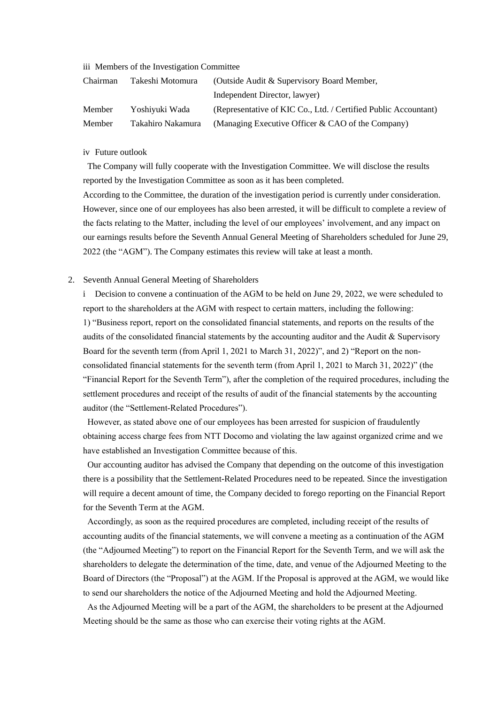#### iii Members of the Investigation Committee

| Chairman      | Takeshi Motomura  | (Outside Audit & Supervisory Board Member,                      |
|---------------|-------------------|-----------------------------------------------------------------|
|               |                   | Independent Director, lawyer)                                   |
| <b>Member</b> | Yoshivuki Wada    | (Representative of KIC Co., Ltd. / Certified Public Accountant) |
| <b>Member</b> | Takahiro Nakamura | (Managing Executive Officer & CAO of the Company)               |

#### iv Future outlook

The Company will fully cooperate with the Investigation Committee. We will disclose the results reported by the Investigation Committee as soon as it has been completed.

According to the Committee, the duration of the investigation period is currently under consideration. However, since one of our employees has also been arrested, it will be difficult to complete a review of the facts relating to the Matter, including the level of our employees' involvement, and any impact on our earnings results before the Seventh Annual General Meeting of Shareholders scheduled for June 29, 2022 (the "AGM"). The Company estimates this review will take at least a month.

#### 2. Seventh Annual General Meeting of Shareholders

i Decision to convene a continuation of the AGM to be held on June 29, 2022, we were scheduled to report to the shareholders at the AGM with respect to certain matters, including the following: 1) "Business report, report on the consolidated financial statements, and reports on the results of the audits of the consolidated financial statements by the accounting auditor and the Audit & Supervisory Board for the seventh term (from April 1, 2021 to March 31, 2022)", and 2) "Report on the nonconsolidated financial statements for the seventh term (from April 1, 2021 to March 31, 2022)" (the "Financial Report for the Seventh Term"), after the completion of the required procedures, including the settlement procedures and receipt of the results of audit of the financial statements by the accounting auditor (the "Settlement-Related Procedures").

However, as stated above one of our employees has been arrested for suspicion of fraudulently obtaining access charge fees from NTT Docomo and violating the law against organized crime and we have established an Investigation Committee because of this.

Our accounting auditor has advised the Company that depending on the outcome of this investigation there is a possibility that the Settlement-Related Procedures need to be repeated. Since the investigation will require a decent amount of time, the Company decided to forego reporting on the Financial Report for the Seventh Term at the AGM.

Accordingly, as soon as the required procedures are completed, including receipt of the results of accounting audits of the financial statements, we will convene a meeting as a continuation of the AGM (the "Adjourned Meeting") to report on the Financial Report for the Seventh Term, and we will ask the shareholders to delegate the determination of the time, date, and venue of the Adjourned Meeting to the Board of Directors (the "Proposal") at the AGM. If the Proposal is approved at the AGM, we would like to send our shareholders the notice of the Adjourned Meeting and hold the Adjourned Meeting.

As the Adjourned Meeting will be a part of the AGM, the shareholders to be present at the Adjourned Meeting should be the same as those who can exercise their voting rights at the AGM.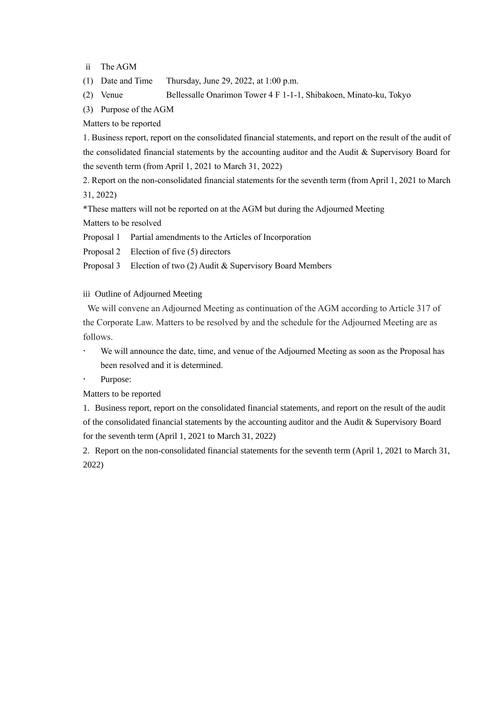ii The AGM

(1) Date and Time Thursday, June 29, 2022, at 1:00 p.m.

(2) Venue Bellessalle Onarimon Tower 4 F 1-1-1, Shibakoen, Minato-ku, Tokyo

(3) Purpose of the AGM

Matters to be reported

1. Business report, report on the consolidated financial statements, and report on the result of the audit of the consolidated financial statements by the accounting auditor and the Audit & Supervisory Board for the seventh term (from April 1, 2021 to March 31, 2022)

2. Report on the non-consolidated financial statements for the seventh term (from April 1, 2021 to March 31, 2022)

\*These matters will not be reported on at the AGM but during the Adjourned Meeting

Matters to be resolved

Proposal 1 Partial amendments to the Articles of Incorporation

Proposal 2 Election of five (5) directors

Proposal 3 Election of two (2) Audit & Supervisory Board Members

iii Outline of Adjourned Meeting

We will convene an Adjourned Meeting as continuation of the AGM according to Article 317 of the Corporate Law. Matters to be resolved by and the schedule for the Adjourned Meeting are as follows.

 We will announce the date, time, and venue of the Adjourned Meeting as soon as the Proposal has been resolved and it is determined.

Purpose:

Matters to be reported

1. Business report, report on the consolidated financial statements, and report on the result of the audit of the consolidated financial statements by the accounting auditor and the Audit & Supervisory Board for the seventh term (April 1, 2021 to March 31, 2022)

2. Report on the non-consolidated financial statements for the seventh term (April 1, 2021 to March 31, 2022)